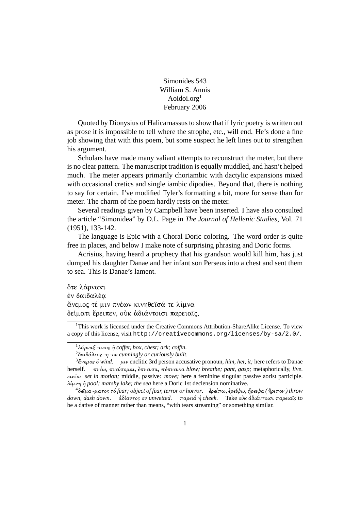Simonides 543 William S. Annis Aoidoi.org $<sup>1</sup>$ </sup> February 2006

Quoted by Dionysius of Halicarnassus to show that if lyric poetry is written out as prose it is impossible to tell where the strophe, etc., will end. He's done a fine job showing that with this poem, but some suspect he left lines out to strengthen his argument.

Scholars have made many valiant attempts to reconstruct the meter, but there is no clear pattern. The manuscript tradition is equally muddled, and hasn't helped much. The meter appears primarily choriambic with dactylic expansions mixed with occasional cretics and single iambic dipodies. Beyond that, there is nothing to say for certain. I've modified Tyler's formatting a bit, more for sense than for meter. The charm of the poem hardly rests on the meter.

Several readings given by Campbell have been inserted. I have also consulted the article "Simonidea" by D.L. Page in The Journal of Hellenic Studies, Vol. 71  $(1951), 133-142.$ 

The language is Epic with a Choral Doric coloring. The word order is quite free in places, and below I make note of surprising phrasing and Doric forms.

Acrisius, having heard a prophecy that his grandson would kill him, has just dumped his daughter Danae and her infant son Perseus into a chest and sent them to sea. This is Danae's lament.

ότε λάρνακι έν δαιδαλέα άνεμος τέ μιν πνέων κινηθείσά τε λίμνα δείματι έρειπεν, ούκ άδιάντοισι παρειαίς,

 $1$ This work is licensed under the Creative Commons Attribution-ShareAlike License. To view a copy of this license, visit  $http://creativecommons.org/licenses/by-sa/2.0/">http://creativecommons.org/licenses/by-sa/2.0/$ .

<sup>&</sup>lt;sup>1</sup>λάρναξ -ακος ή coffer, box, chest; ark; coffin.

 $^{2}\delta\alpha\delta\acute{\alpha}$ λεος -η -ον cunningly or curiously built.

 $\frac{3}{4}$   $\frac{3}{4}$   $\frac{1}{4}$   $\frac{1}{4}$   $\frac{1}{4}$   $\frac{1}{4}$   $\frac{1}{4}$   $\frac{1}{4}$   $\frac{1}{4}$   $\frac{1}{4}$   $\frac{1}{4}$   $\frac{1}{4}$   $\frac{1}{4}$   $\frac{1}{4}$   $\frac{1}{4}$   $\frac{1}{4}$   $\frac{1}{4}$   $\frac{1}{4}$   $\frac{1}{4}$   $\frac{1}{4}$   $\frac{1}{4}$   $\frac{1}{4}$  πνέω, πνεύσομαι, έπνευσα, πέπνευκα blow; breathe; pant, gasp; metaphorically, live. herself.  $\kappa v \epsilon \omega$  set in motion; middle, passive: move; here a feminine singular passive aorist participle.  $\lambda \mu \nu \eta$  ή pool; marshy lake; the sea here a Doric 1st declension nominative.

 $^4$ δεῖμα -ματος τό fear; object of fear, terror or horror. 'ερείπω, ερείψω, ἤρειψα (ἤριπον) throw down, dash down.  $d\delta d\alpha v \tau$ os ov unwetted. παρειά ή cheek. Take ούκ αδιάντοισι παρειαίς to be a dative of manner rather than means, "with tears streaming" or something similar.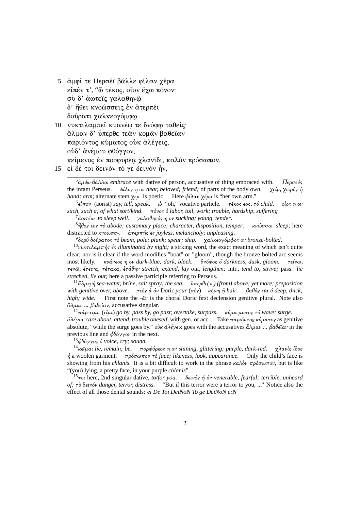5 αμφί τε Περσέϊ βάλλε φίλαν γέρα είπέν τ', "ὢ τέκος, οἶον ἔγω πόνον· σύ δ' άωτεις γαλαθηνώ δ' ήθει κνοώσσεις έν άτερπέι δούρατι χαλκεογόμφω

- 10 νυκτιλαμπεί κυανέω τε δνόφω ταθείς· άλμαν δ' ύπερθε τεάν κομάν βαθεΐαν παριόντος κύματος ούκ άλέγεις, ούδ' άνέμου φθόγγον, κείμενος έν πορφυρέα χλανίδι, καλόν πρόσωπον.
- 15 εί δέ τοι δεινόν τό γε δεινόν ήν,

 $5\alpha\mu\phi$ ι-βάλλω embrace with dative of person, accusative of thing embraced with. Περσεύς the infant Perseus.  $\phi(\lambda) \propto \phi(\lambda)$  ov dear, beloved; friend; of parts of the body own. χείρ, χειρός ή *hand; arm; alternate stem*  $\chi \epsilon \rho$ *- is poetic.* Here  $\phi \ell \lambda \alpha \nu \chi \epsilon \rho \alpha$  is "her own arm."

 ${}^{6}$ εἶπον (aorist) say, tell, speak. ὦ "oh," vocative particle.  $\tau$ έκος εος, τό child. οἷος η ον such, such a; of what sort/kind.  $\pi\acute{\omega}$ vos  $\acute{\omega}$  labor, toil, work; trouble, hardship, suffering

 $^7$ άωτέω to sleep well. γαλαθηνός η ον sucking; young, tender.

 ${}^{8}\hat{\eta}$ θos  $\epsilon$ os  $\tau$ ó abode; customary place; character, disposition, temper.  $κνωσσω$  sleep; here distracted to  $\kappa\nu\omega\omega\sigma\sigma$ -.  $\dot{a}\tau\epsilon\rho\pi\eta s$   $\epsilon s$  joyless, melancholy; unpleasing.

 $\delta$ δορύ δούρατος τό beam, pole; plank; spear; ship. γαλκεογόμφος ον bronze-bolted.

<sup>10</sup>νυκτιλαμπής ές illuminated by night; a strking word, the exact meaning of which isn't quite clear; nor is it clear if the word modifies "boat" or "gloom", though the bronze-bolted arc seems κυάνεος η ον dark-blue; dark, black. δνόφος δ darkness, dusk, gloom. most likely. τείνω, τενώ, έτεινα, τέτακα, ετάθην stretch, extend, lay out, lengthen; intr., tend to, strive; pass. lie streched, lie out; here a passive participle referring to Perseus.

<sup>11</sup>άλμη ή sea-water, brine, salt spray; the sea. ύπερθε(ν) (from) above; yet more; preposition with genitive over, above.  $\tau \epsilon \phi s$  á óv Doric your ( $\sigma \phi s$ )  $\kappa \phi \omega \eta$  ή hair.  $\beta a \theta s$   $\epsilon a$   $\phi$  deep, thick; First note the  $-\hat{a}v$  is the choral Doric first declension genitive plural. Note also high: wide.  $\mathring{\alpha}\lambda\mu\alpha\nu$  ...  $\beta\alpha\theta\epsilon\hat{\iota}\alpha\nu$ , accusative singular.

<sup>12</sup>πάρ-ειμι (εἶμι) go by, pass by, go past; overtake, surpass. κῦμα ματος τό wave; surge.  $\frac{\partial \lambda}{\partial y}$  care about, attend, trouble oneself, with gen. or acc. Take παριόντος κύματος as genitive absolute, "while the surge goes by."  $\omega \kappa d\lambda \epsilon \gamma \epsilon \kappa s$  goes with the accusatives  $\alpha \lambda \mu \alpha \nu \ldots \beta \alpha \theta \epsilon \epsilon \alpha \nu$  in the previous line and  $\phi \theta' \phi \gamma \gamma \circ \nu$  in the next.

 $^{13}$ φθόγγος ο νοίς κειν; sound.

<sup>14</sup>κείμαι lie, remain; be. πορφύρεος η ον shining, glittering; purple, dark-red. γλανίς ίδος  $\eta$  a woolen garment.  $\pi \rho \delta \sigma \omega \pi \sigma \nu$   $\tau \delta$  face; likeness, look, appearance. Only the child's face is showing from his *chlanis*. It is a bit difficult to work in the phrase  $\kappa a \lambda \delta \nu \pi \rho \delta \sigma \omega \pi \nu$ , but is like "(you) lying, a pretty face, in your purple *chlants*"

<sup>15</sup> rou here, 2nd singular dative, to/for you.  $\delta \epsilon \nu \omega$  *of the venerable, fearful; terrible, unheard* of; τὸ δεινόν danger, terror, distress. "But if this terror were a terror to you, ..." Notice also the effect of all those dental sounds: ei De Toi DeiNoN To ge DeiNoN e:N